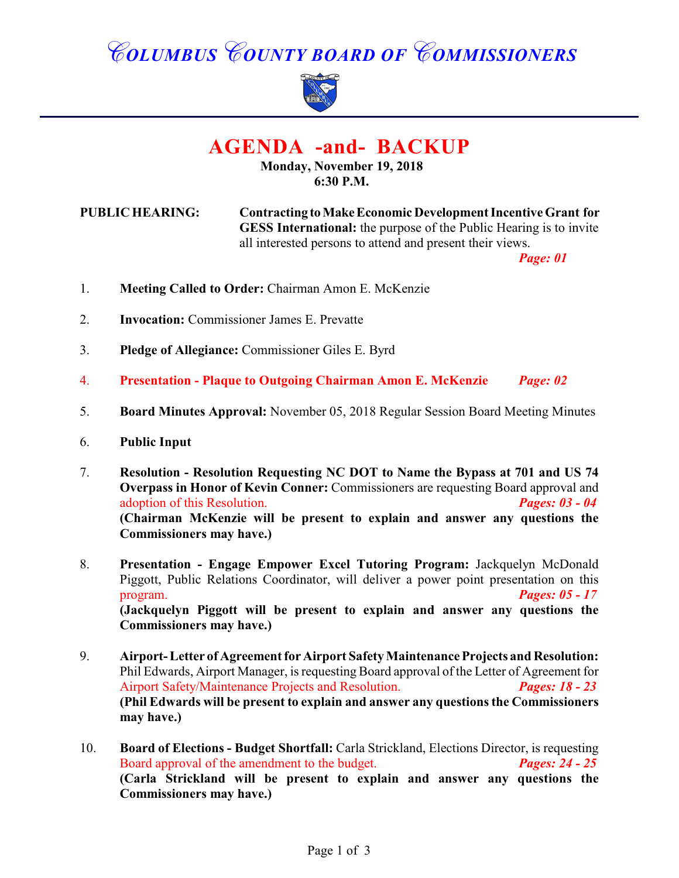# *COLUMBUS COUNTY BOARD OF COMMISSIONERS*



# **AGENDA -and- BACKUP**

### **Monday, November 19, 2018 6:30 P.M.**

**PUBLIC HEARING: Contracting to Make Economic Development Incentive Grant for GESS International:** the purpose of the Public Hearing is to invite all interested persons to attend and present their views.

*Page: 01*

- 1. **Meeting Called to Order:** Chairman Amon E. McKenzie
- 2. **Invocation:** Commissioner James E. Prevatte
- 3. **Pledge of Allegiance:** Commissioner Giles E. Byrd
- 4. **Presentation Plaque to Outgoing Chairman Amon E. McKenzie** *Page: 02*
- 5. **Board Minutes Approval:** November 05, 2018 Regular Session Board Meeting Minutes
- 6. **Public Input**
- 7. **Resolution Resolution Requesting NC DOT to Name the Bypass at 701 and US 74 Overpass in Honor of Kevin Conner:** Commissioners are requesting Board approval and adoption of this Resolution. *Pages: 03 - 04* **(Chairman McKenzie will be present to explain and answer any questions the Commissioners may have.)**
- 8. **Presentation Engage Empower Excel Tutoring Program:** Jackquelyn McDonald Piggott, Public Relations Coordinator, will deliver a power point presentation on this program. *Pages: 05 - 17* **(Jackquelyn Piggott will be present to explain and answer any questions the Commissioners may have.)**
- 9. **Airport- Letter of Agreement for Airport Safety Maintenance Projects and Resolution:** Phil Edwards, Airport Manager, is requesting Board approval of the Letter of Agreement for Airport Safety/Maintenance Projects and Resolution. *Pages: 18 - 23* **(Phil Edwards will be present to explain and answer any questions the Commissioners may have.)**
- 10. **Board of Elections Budget Shortfall:** Carla Strickland, Elections Director, is requesting **Board approval of the amendment to the budget.** *Pages: 24 25* Board approval of the amendment to the budget. **(Carla Strickland will be present to explain and answer any questions the Commissioners may have.)**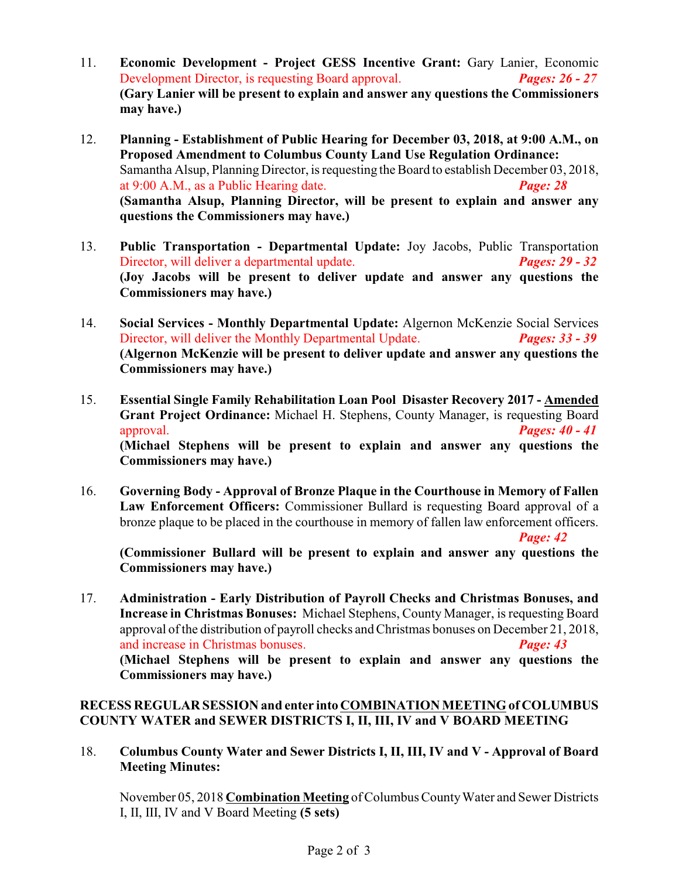- 11. **Economic Development Project GESS Incentive Grant:** Gary Lanier, Economic Development Director, is requesting Board approval. *Pages: 26 - 27* **(Gary Lanier will be present to explain and answer any questions the Commissioners may have.)**
- 12. **Planning Establishment of Public Hearing for December 03, 2018, at 9:00 A.M., on Proposed Amendment to Columbus County Land Use Regulation Ordinance:** Samantha Alsup, Planning Director, is requesting the Board to establish December 03, 2018, at 9:00 A.M., as a Public Hearing date. *Page: 28* **(Samantha Alsup, Planning Director, will be present to explain and answer any questions the Commissioners may have.)**
- 13. **Public Transportation Departmental Update:** Joy Jacobs, Public Transportation Director, will deliver a departmental update. *Pages: 29 - 32* **(Joy Jacobs will be present to deliver update and answer any questions the Commissioners may have.)**
- 14. **Social Services Monthly Departmental Update:** Algernon McKenzie Social Services Director, will deliver the Monthly Departmental Update. *Pages: 33 - 39* **(Algernon McKenzie will be present to deliver update and answer any questions the Commissioners may have.)**
- 15. **Essential Single Family Rehabilitation Loan Pool Disaster Recovery 2017 Amended Grant Project Ordinance:** Michael H. Stephens, County Manager, is requesting Board approval. *Pages: 40 - 41* **(Michael Stephens will be present to explain and answer any questions the Commissioners may have.)**
- 16. **Governing Body Approval of Bronze Plaque in the Courthouse in Memory of Fallen Law Enforcement Officers:** Commissioner Bullard is requesting Board approval of a bronze plaque to be placed in the courthouse in memory of fallen law enforcement officers.

*Page: 42*

**(Commissioner Bullard will be present to explain and answer any questions the Commissioners may have.)**

17. **Administration - Early Distribution of Payroll Checks and Christmas Bonuses, and Increase in Christmas Bonuses:** Michael Stephens, County Manager, is requesting Board approval of the distribution of payroll checks and Christmas bonuses on December 21, 2018, and increase in Christmas bonuses. *Page: 43* **(Michael Stephens will be present to explain and answer any questions the Commissioners may have.)**

#### **RECESS REGULAR SESSION and enter into COMBINATION MEETING of COLUMBUS COUNTY WATER and SEWER DISTRICTS I, II, III, IV and V BOARD MEETING**

18. **Columbus County Water and Sewer Districts I, II, III, IV and V - Approval of Board Meeting Minutes:**

November 05, 2018 **Combination Meeting** of Columbus County Water and Sewer Districts I, II, III, IV and V Board Meeting **(5 sets)**